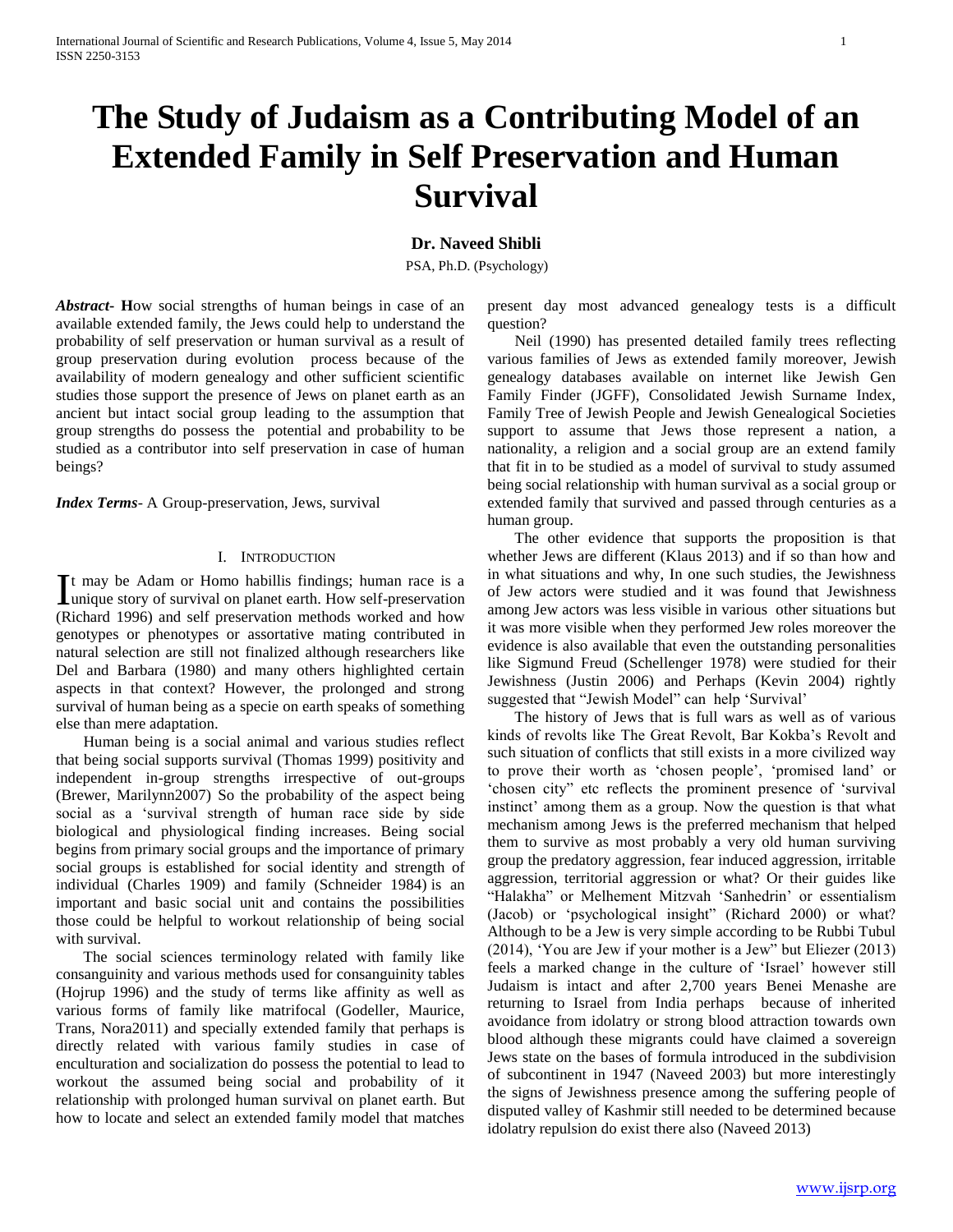# **The Study of Judaism as a Contributing Model of an Extended Family in Self Preservation and Human Survival**

## **Dr. Naveed Shibli**

PSA, Ph.D. (Psychology)

*Abstract***- H**ow social strengths of human beings in case of an available extended family, the Jews could help to understand the probability of self preservation or human survival as a result of group preservation during evolution process because of the availability of modern genealogy and other sufficient scientific studies those support the presence of Jews on planet earth as an ancient but intact social group leading to the assumption that group strengths do possess the potential and probability to be studied as a contributor into self preservation in case of human beings?

*Index Terms*- A Group-preservation, Jews, survival

### I. INTRODUCTION

t may be Adam or Homo habillis findings; human race is a It may be Adam or Homo habillis findings; human race is a unique story of survival on planet earth. How self-preservation (Richard 1996) and self preservation methods worked and how genotypes or phenotypes or assortative mating contributed in natural selection are still not finalized although researchers like Del and Barbara (1980) and many others highlighted certain aspects in that context? However, the prolonged and strong survival of human being as a specie on earth speaks of something else than mere adaptation.

 Human being is a social animal and various studies reflect that being social supports survival (Thomas 1999) positivity and independent in-group strengths irrespective of out-groups (Brewer, Marilynn2007) So the probability of the aspect being social as a 'survival strength of human race side by side biological and physiological finding increases. Being social begins from primary social groups and the importance of primary social groups is established for social identity and strength of individual (Charles 1909) and family (Schneider 1984) is an important and basic social unit and contains the possibilities those could be helpful to workout relationship of being social with survival.

 The social sciences terminology related with family like consanguinity and various methods used for consanguinity tables (Hojrup 1996) and the study of terms like affinity as well as various forms of family like matrifocal (Godeller, Maurice, Trans, Nora2011) and specially extended family that perhaps is directly related with various family studies in case of enculturation and socialization do possess the potential to lead to workout the assumed being social and probability of it relationship with prolonged human survival on planet earth. But how to locate and select an extended family model that matches

present day most advanced genealogy tests is a difficult question?

 Neil (1990) has presented detailed family trees reflecting various families of Jews as extended family moreover, Jewish genealogy databases available on internet like Jewish Gen Family Finder (JGFF), Consolidated Jewish Surname Index, Family Tree of Jewish People and Jewish Genealogical Societies support to assume that Jews those represent a nation, a nationality, a religion and a social group are an extend family that fit in to be studied as a model of survival to study assumed being social relationship with human survival as a social group or extended family that survived and passed through centuries as a human group.

 The other evidence that supports the proposition is that whether Jews are different (Klaus 2013) and if so than how and in what situations and why, In one such studies, the Jewishness of Jew actors were studied and it was found that Jewishness among Jew actors was less visible in various other situations but it was more visible when they performed Jew roles moreover the evidence is also available that even the outstanding personalities like Sigmund Freud (Schellenger 1978) were studied for their Jewishness (Justin 2006) and Perhaps (Kevin 2004) rightly suggested that "Jewish Model" can help 'Survival'

 The history of Jews that is full wars as well as of various kinds of revolts like The Great Revolt, Bar Kokba's Revolt and such situation of conflicts that still exists in a more civilized way to prove their worth as 'chosen people', 'promised land' or 'chosen city" etc reflects the prominent presence of 'survival instinct' among them as a group. Now the question is that what mechanism among Jews is the preferred mechanism that helped them to survive as most probably a very old human surviving group the predatory aggression, fear induced aggression, irritable aggression, territorial aggression or what? Or their guides like "Halakha" or Melhement Mitzvah 'Sanhedrin' or essentialism (Jacob) or 'psychological insight" (Richard 2000) or what? Although to be a Jew is very simple according to be Rubbi Tubul (2014), 'You are Jew if your mother is a Jew" but Eliezer (2013) feels a marked change in the culture of 'Israel' however still Judaism is intact and after 2,700 years Benei Menashe are returning to Israel from India perhaps because of inherited avoidance from idolatry or strong blood attraction towards own blood although these migrants could have claimed a sovereign Jews state on the bases of formula introduced in the subdivision of subcontinent in 1947 (Naveed 2003) but more interestingly the signs of Jewishness presence among the suffering people of disputed valley of Kashmir still needed to be determined because idolatry repulsion do exist there also (Naveed 2013)